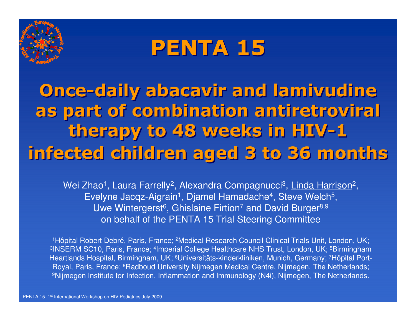

# PENTA 15

Once-daily abacavir and lamivudine as part of combination antiretroviral therapy to 48 weeks in HIV-1 infected children aged 3 to 36 months

Wei Zhao<sup>1</sup>, Laura Farrelly<sup>2</sup>, Alexandra Compagnucci<sup>3</sup>, Linda Harrison<sup>2</sup>, Evelyne Jacqz-Aigrain<sup>1</sup>, Djamel Hamadache<sup>4</sup>, Steve Welch<sup>5</sup>, Uwe Wintergerst<sup>6</sup>, Ghislaine Firtion<sup>7</sup> and David Burger<sup>8,9</sup> on behalf of the PENTA 15 Trial Steering Committee

1Hôpital Robert Debré, Paris, France; 2Medical Research Council Clinical Trials Unit, London, UK; <sup>3</sup>INSERM SC10, Paris, France; <sup>4</sup>Imperial College Healthcare NHS Trust, London, UK; <sup>5</sup>Birmingham Heartlands Hospital, Birmingham, UK; 6Universitäts-kinderkliniken, Munich, Germany; 7Hôpital Port-Royal, Paris, France; <sup>8</sup>Radboud University Nijmegen Medical Centre, Nijmegen, The Netherlands; <sup>9</sup>Nijmegen Institute for Infection, Inflammation and Immunology (N4i), Nijmegen, The Netherlands.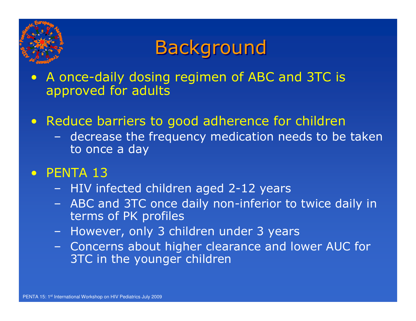

## **Background**

- $\bigodot$  A once-daily dosing regimen of ABC and 3TC is approved for adults
- $\bullet$  Reduce barriers to good adherence for children
	- –decrease the frequency medication needs to be taken<br>to once a day to once a day
- $\bullet$ PENTA 13
	- –HIV infected children aged 2-12 years<br>ABC and 3TC once daily pon-inferior t
	- –ABC and 3TC once daily non-inferior to twice daily in terms of PK profiles terms of PK profiles
	- –However, only 3 children under 3 years
	- –Concerns about higher clearance and lower AUC for<br>3TC in the vounger children 3TC in the younger children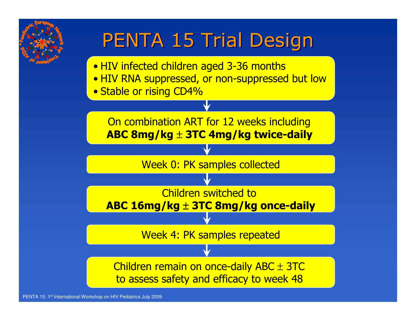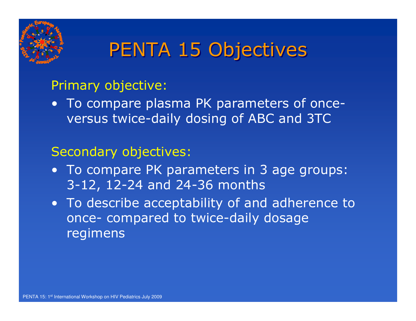

## PENTA 15 Objectives

### Primary objective:

• To compare plasma PK parameters of once-<br>Marsus twice-daily dosing of ABC and 3TC versus twice-daily dosing of ABC and 3TC

### Secondary objectives:

- To compare PK parameters in 3 age groups:<br>3-12 12-24 and 24-36 months 3-12, 12-24 and 24-36 months
- To describe acceptability of and adherence to<br>Conce- compared to twice-daily dosage once- compared to twice-daily dosage regimens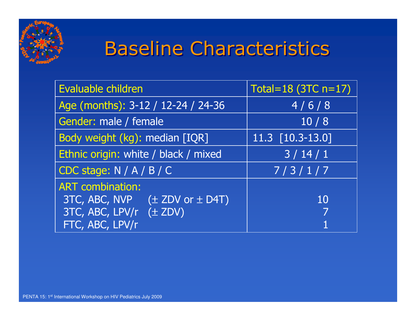

# Baseline Characteristics

| Evaluable children                                                                                                           | Total=18 (3TC $n=17$ )        |
|------------------------------------------------------------------------------------------------------------------------------|-------------------------------|
| Age (months): 3-12 / 12-24 / 24-36                                                                                           | 4/6/8                         |
| Gender: male / female                                                                                                        | 10/8                          |
| Body weight (kg): median [IQR]                                                                                               | $\overline{11.3}$ [10.3-13.0] |
| Ethnic origin: white / black / mixed                                                                                         | 3/14/1                        |
| CDC stage: $N / A / B / C$                                                                                                   | 7/3/1/7                       |
| <b>ART</b> combination:<br>$3TC, ABC, NVP \quad (\pm ZDV \text{ or } \pm D4T)$<br>3TC, ABC, LPV/r (± ZDV)<br>FTC, ABC, LPV/r | 10                            |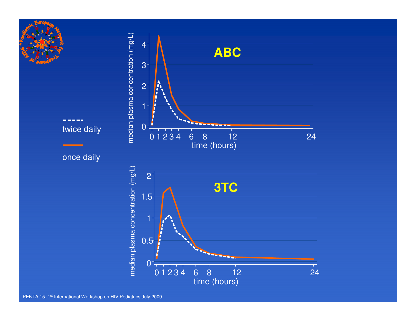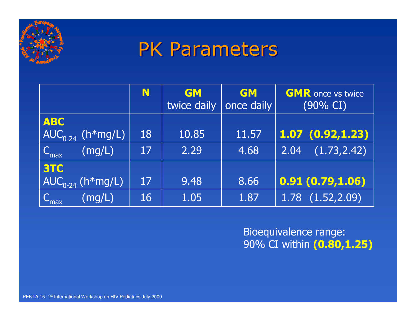

### PK Parameters

|                                                                                                                                                               | N  | <b>GM</b><br>twice daily | <b>GM</b><br>once daily | <b>GMR</b> once vs twice<br>$(90\% \text{ CI})$ |
|---------------------------------------------------------------------------------------------------------------------------------------------------------------|----|--------------------------|-------------------------|-------------------------------------------------|
| <b>ABC</b><br>$\overline{\ket{\mathsf{AUC}_{0\text{-}24}^{-}}}$ $(\mathsf{h}^*\overline{\mathsf{m}}\overline{\mathsf{g}}/\mathsf{L})^{\overline{\mathsf{g}}}$ | 18 | 10.85                    | 11.57                   | 1.07(0.92, 1.23)                                |
| (mg/L)<br>$C_{\text{max}}$                                                                                                                                    | 17 | 2.29                     | 4.68                    | (1.73, 2.42)<br>2.04                            |
| <b>3TC</b><br>$\overline{\ket{\mathsf{AUC}_{0\text{-}24}^{\phantom{\dag}}\left(\mathsf{h}^{\mathrm{w}}\mathsf{m}\mathsf{g/L}\right)}}$                        | 17 | 9.48                     | 8.66                    | 0.91(0.79, 1.06)                                |
| (mg/L)<br>$\mathsf{C}_{\mathsf{max}}$                                                                                                                         | 16 | 1.05                     | 1.87                    | $1.78$ $(1.52, 2.09)$                           |

Bioequivalence range: 90% CI within **(0.80,1.25)**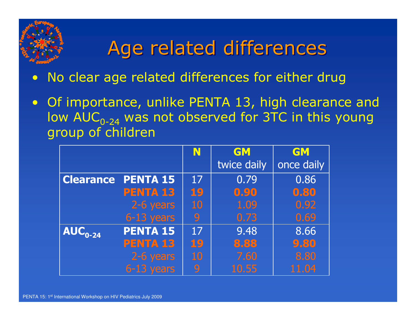## Age related differences

- $\bullet$ No clear age related differences for either drug
- $\bullet$  Of importance, unlike PENTA 13, high clearance and low  $\mathsf{AUC}_{0\text{-}24}$  was not observed for 3TC in this young group of children

|                  |                 | N         | <b>GM</b>   | GM         |
|------------------|-----------------|-----------|-------------|------------|
|                  |                 |           | twice daily | once daily |
| <b>Clearance</b> | <b>PENTA 15</b> | 17        | 0.79        | 0.86       |
|                  | <b>PENTA 13</b> | 19        | 0.90        | 0.80       |
|                  | 2-6 years       | <b>10</b> | 1.09        | 0.92       |
|                  | $6-13$ years    | 9         | 0.73        | 0.69       |
| $AUC_{0-24}$     | <b>PENTA 15</b> | 17        | 9.48        | 8.66       |
|                  | <b>PENTA 13</b> | 19        | 8.88        | 9.80       |
|                  | 2-6 years       | 10        | 7.60        | 8.80       |
|                  | $6-13$ years    | 9         | 10.55       | 11.04      |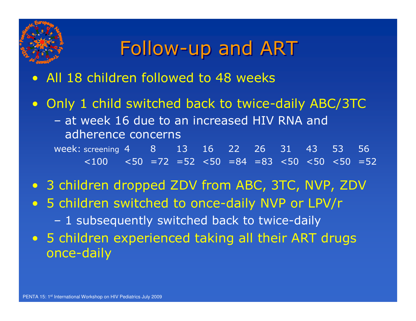

### Follow-up and ART

#### $\bullet$ All 18 children followed to 48 weeks

- $\bullet$  Only 1 child switched back to twice-daily ABC/3TC
	- at week 16 due to an increased HIV RNA and<br>adherence concerns adherence concerns

week: screening 4 8 13 16 22 26 31 43 53 56 <100 <50 =72 =52 <50 =84 =83 <50 <50 <50 =52

- 3 children dropped ZDV from ABC, 3TC, NVP, ZDV<br>• 5 shildren switched to ance daily NWD or LDV/s
- 5 children switched to once-daily NVP or LPV/r
	- 1 subsequently switched back to twice-daily
- 5 children experienced taking all their ART drugs<br>مصدر مصدر once-daily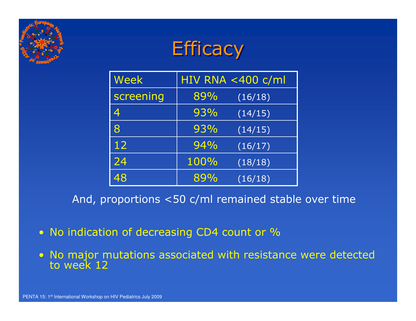

### **Efficacy**

| Week      | HIV RNA $<$ 400 c/ml |         |  |  |
|-----------|----------------------|---------|--|--|
| screening | 89%                  | (16/18) |  |  |
|           | 93%                  | (14/15) |  |  |
| 8         | 93%                  | (14/15) |  |  |
| 12        | 94%                  | (16/17) |  |  |
| 24        | 100%                 | (18/18) |  |  |
| 48        | 89%                  | (16/18) |  |  |

And, proportions <50 c/ml remained stable over time

- No indication of decreasing CD4 count or %
- No major mutations associated with resistance were detected to week 12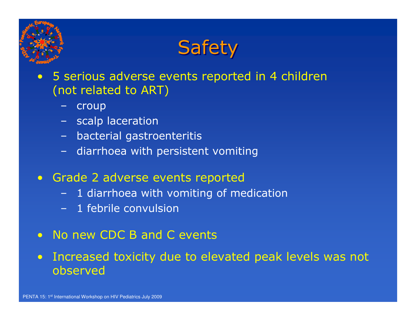



- $\bullet$  5 serious adverse events reported in 4 children (not related to ART)
	- croup
	- scalp laceration
	- bacterial gastroenteritis
	- diarrhoea with persistent vomiting
- Grade 2 adverse events reported
	- 1 diarrhoea with vomiting of medication
	- 1 febrile convulsion
- $\bullet$ No new CDC B and C events
- $\bullet$  Increased toxicity due to elevated peak levels was not observed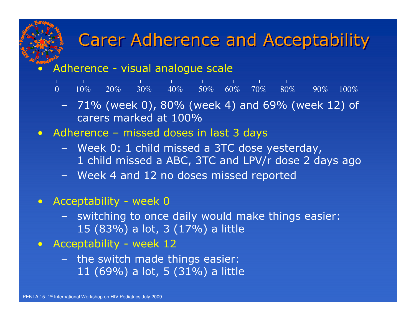### Carer Adherence and Acceptability

### Adherence - visual analogue scale

|  | al construction of the construction of the construction of the construction of the construction of the construct |  |  |  |  |
|--|------------------------------------------------------------------------------------------------------------------|--|--|--|--|
|  | $0$ $10\%$ $20\%$ $30\%$ $40\%$ $50\%$ $60\%$ $70\%$ $80\%$ $90\%$ $100\%$                                       |  |  |  |  |
|  |                                                                                                                  |  |  |  |  |

- 71% (week 0),  $80\%$  (week 4) and  $69\%$  (week 12) of carers marked at  $100\%$ carers marked at 100%
- Adherence missed doses in last 3 days
	- Week 0: 1 child missed a 3TC dose yesterday,<br>1 child missed a ABC 3TC and LPV/r dose 2 da 1 child missed a ABC, 3TC and LPV/r dose 2 days ago
	- Week 4 and 12 no doses missed reported
- $\bullet$ Acceptability - week 0

 $\bullet$ 

- switching to once daily would make things easier:<br>15  $(83\%)$  a lot  $(3.17\%)$  a little 15 (83%) a lot, 3 (17%) a little
- Acceptability week 12
	- the switch made things easier:<br>11  $(69\%)$  a lot  $(5, 131\%)$  a little 11 (69%) a lot, 5 (31%) a little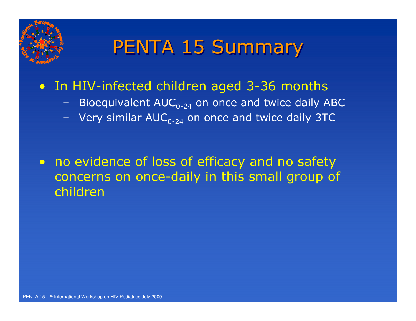

## PENTA 15 Summary

# • In HIV-infected children aged 3-36 months

- Bioequivalent  $AUC_{0-24}$  on once and twice daily ABC
- Very similar  $AUC_{0-24}$  on once and twice daily 3TC

• no evidence of loss of efficacy and no safety concerns on once-daily in this small group of children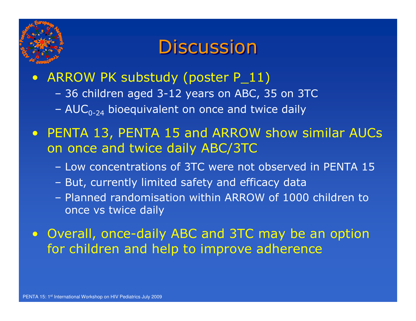

### **Discussion**

#### $\bullet$ ARROW PK substudy (poster P\_11)

- 36 children aged 3-12 years on ABC, 35 on 3TC
- – $AUC_{0-24}$  bioequivalent on once and twice daily

### $\bullet$  PENTA 13, PENTA 15 and ARROW show similar AUCs on once and twice daily ABC/3TC

- Low concentrations of 3TC were not observed in PENTA 15
- But, currently limited safety and efficacy data
- Planned randomisation within ARROW of 1000 children to<br>once vs twice daily once vs twice daily

### $\bullet$  Overall, once-daily ABC and 3TC may be an option for children and help to improve adherence